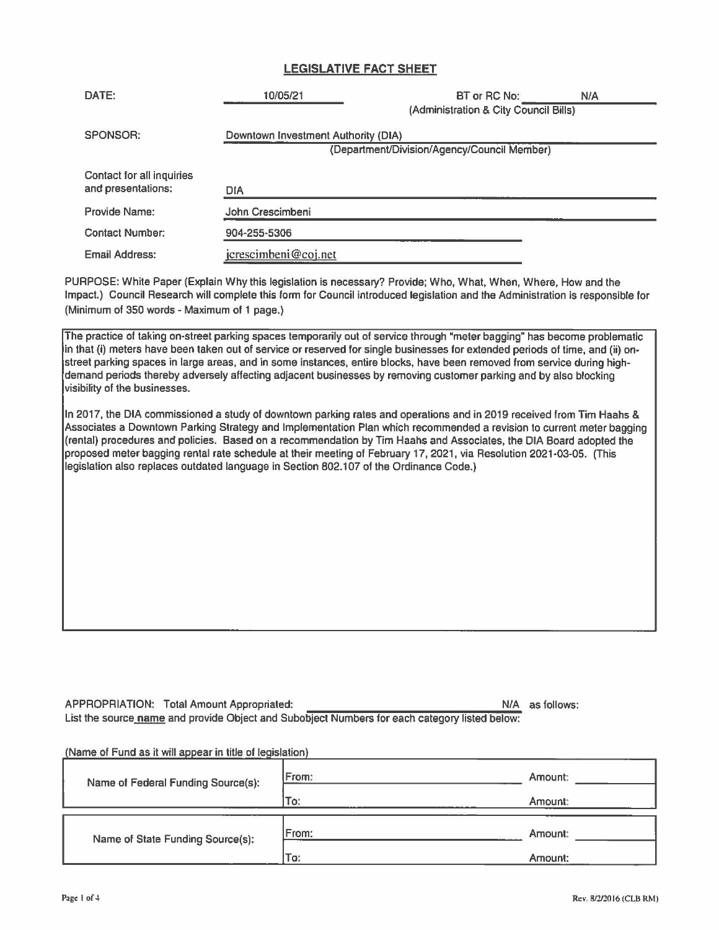## **LEGISLATIVE FACT SHEET**

| DATE:                                           | 10/05/21                                                                           | BT or RC No:<br>(Administration & City Council Bills) | N/A |
|-------------------------------------------------|------------------------------------------------------------------------------------|-------------------------------------------------------|-----|
| SPONSOR:                                        | Downtown Investment Authority (DIA)<br>(Department/Division/Agency/Council Member) |                                                       |     |
| Contact for all inquiries<br>and presentations: | <b>DIA</b>                                                                         |                                                       |     |
| Provide Name:                                   | John Crescimbeni                                                                   |                                                       |     |
| Contact Number:                                 | 904-255-5306                                                                       |                                                       |     |
| Email Address:                                  | jcrescimbeni@coj.net                                                               |                                                       |     |

PURPOSE: White Paper (Explain Why this legislation is necessary? Provide; Who, What, When, Where, How and the Impact.) Council Research will complete this form for Council introduced legislation and the Administration is responsible for (Minimum of 350 words - Maximum of 1 page.)

The practice of taking on-street parking spaces temporarily out of service through "meter bagging" has become problematic in that (i) meters have been taken out of service or reserved for single businesses for extended periods of time, and (ii) on• street parking spaces in large areas, and in some instances, entire blocks, have been removed from service during highdemand periods thereby adversely affecting adjacent businesses by removing customer parking and by also blocking visibility of the businesses.

In 2017, the DIA commissioned a study of downtown parking rates and operations and in 2019 received from Tim Haahs & Associates a Downtown Parking Strategy and Implementation Plan which recommended a revision to current meter bagging (rental) procedures and policies. Based on a recommendation by Tim Haahs and Associates, the DIA Board adopted the proposed meter bagging rental rate schedule at their meeting of February 17, 2021, via Resolution 2021-03-05. (This legislation also replaces outdated language in Section 802.107 of the Ordinance Code.)

APPROPRIATION: Total Amount Appropriated: NIA as follows: NIA as follows: List the source name and provide Object and Subobject Numbers for each category listed below:

(Name of Fund as it will appear in title of legislation)

| Name of Federal Funding Source(s): | From: | Amount: |
|------------------------------------|-------|---------|
|                                    | To:   | Amount: |
| Name of State Funding Source(s):   | From: | Amount: |
|                                    | To:   | Amount: |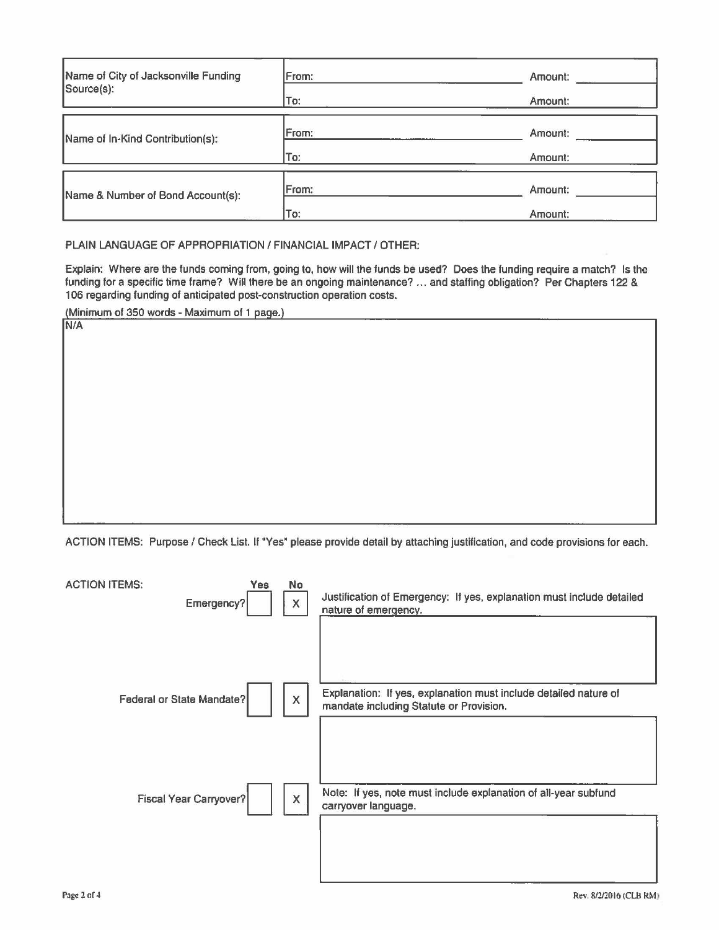| Name of City of Jacksonville Funding<br>Source(s): | From: | Amount: |
|----------------------------------------------------|-------|---------|
|                                                    | To:   | Amount: |
| Name of In-Kind Contribution(s):                   | From: | Amount: |
|                                                    | To:   | Amount: |
| Name & Number of Bond Account(s):                  | From: | Amount: |
|                                                    | To:   | Amount: |

PLAIN LANGUAGE OF APPROPRIATION/ FINANCIAL IMPACT/ OTHER:

Explain: Where are the funds coming from, going to, how will the funds be used? Does the funding require a match? Is the funding for a specific time frame? Will there be an ongoing maintenance? ... and staffing obligation? Per Chapters 122 & 106 regarding funding of anticipated post-construction operation costs.

(Minimum of 350 words • Maximum of 1 page.) **N/A** 

ACTION ITEMS: Purpose/ Check List. If "Yes" please provide detail by attaching justification, and code provisions for each.

| <b>ACTION ITEMS:</b><br>Yes<br>Emergency? | No<br>X                   | Justification of Emergency: If yes, explanation must include detailed<br>nature of emergency.               |
|-------------------------------------------|---------------------------|-------------------------------------------------------------------------------------------------------------|
| <b>Federal or State Mandate?</b>          | $\boldsymbol{\mathsf{X}}$ | Explanation: If yes, explanation must include detailed nature of<br>mandate including Statute or Provision. |
| Fiscal Year Carryover?                    | X                         | Note: If yes, note must include explanation of all-year subfund<br>carryover language.                      |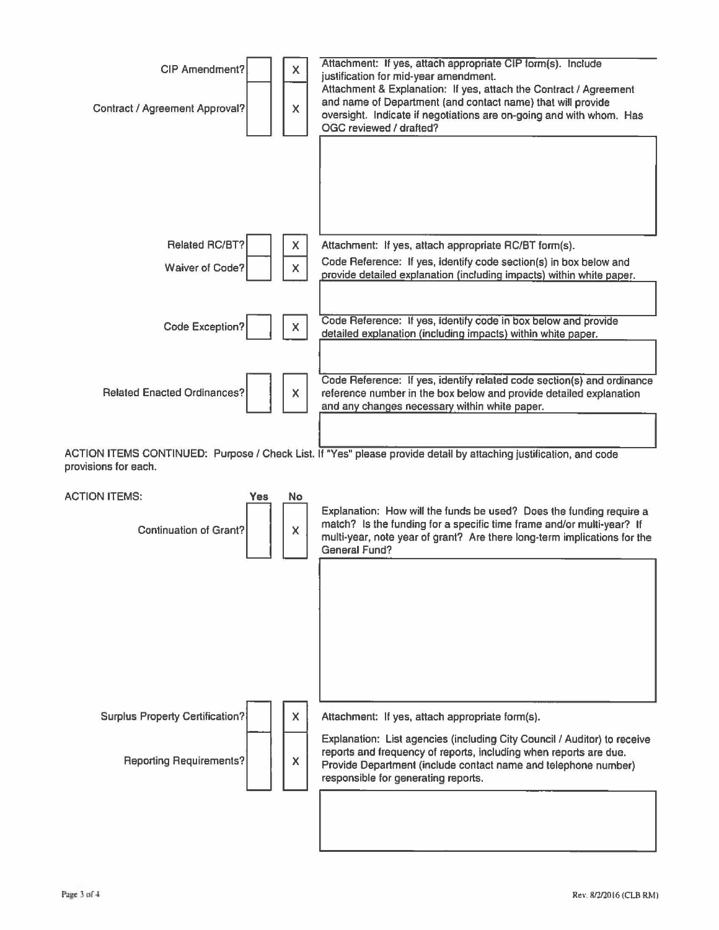

ACTION ITEMS CONTINUED: Purpose/ Check List. If "Yes" please provide detail by attaching justification, and code provisions for each.